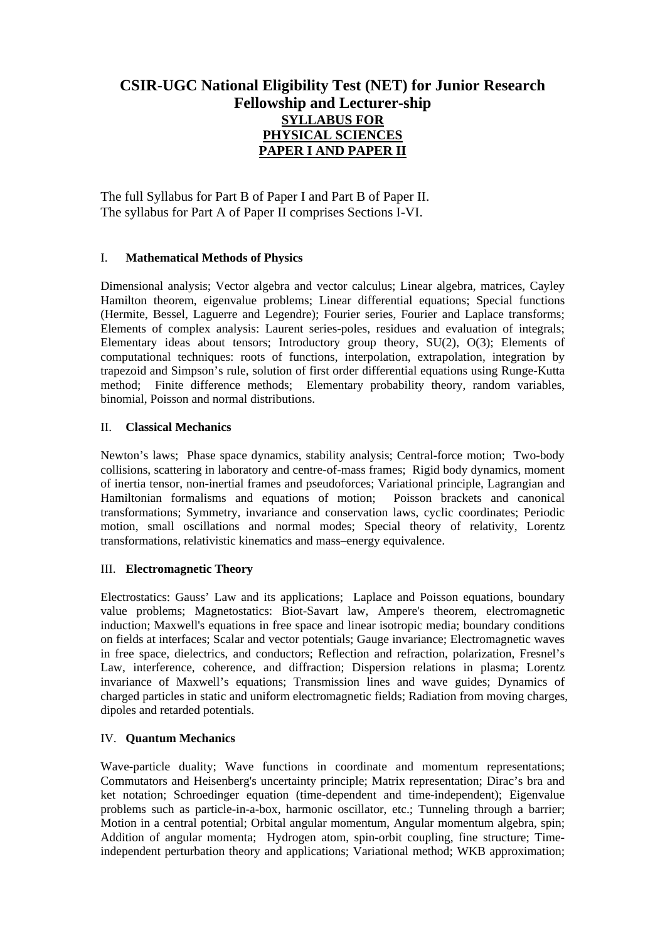# **CSIR-UGC National Eligibility Test (NET) for Junior Research Fellowship and Lecturer-ship SYLLABUS FOR PHYSICAL SCIENCES PAPER I AND PAPER II**

The full Syllabus for Part B of Paper I and Part B of Paper II. The syllabus for Part A of Paper II comprises Sections I-VI.

## I. **Mathematical Methods of Physics**

Dimensional analysis; Vector algebra and vector calculus; Linear algebra, matrices, Cayley Hamilton theorem, eigenvalue problems; Linear differential equations; Special functions (Hermite, Bessel, Laguerre and Legendre); Fourier series, Fourier and Laplace transforms; Elements of complex analysis: Laurent series-poles, residues and evaluation of integrals; Elementary ideas about tensors; Introductory group theory, SU(2), O(3); Elements of computational techniques: roots of functions, interpolation, extrapolation, integration by trapezoid and Simpson's rule, solution of first order differential equations using Runge-Kutta method; Finite difference methods; Elementary probability theory, random variables, binomial, Poisson and normal distributions.

## II. **Classical Mechanics**

Newton's laws; Phase space dynamics, stability analysis; Central-force motion; Two-body collisions, scattering in laboratory and centre-of-mass frames; Rigid body dynamics, moment of inertia tensor, non-inertial frames and pseudoforces; Variational principle, Lagrangian and Hamiltonian formalisms and equations of motion; Poisson brackets and canonical transformations; Symmetry, invariance and conservation laws, cyclic coordinates; Periodic motion, small oscillations and normal modes; Special theory of relativity, Lorentz transformations, relativistic kinematics and mass–energy equivalence.

## III. **Electromagnetic Theory**

Electrostatics: Gauss' Law and its applications; Laplace and Poisson equations, boundary value problems; Magnetostatics: Biot-Savart law, Ampere's theorem, electromagnetic induction; Maxwell's equations in free space and linear isotropic media; boundary conditions on fields at interfaces; Scalar and vector potentials; Gauge invariance; Electromagnetic waves in free space, dielectrics, and conductors; Reflection and refraction, polarization, Fresnel's Law, interference, coherence, and diffraction; Dispersion relations in plasma; Lorentz invariance of Maxwell's equations; Transmission lines and wave guides; Dynamics of charged particles in static and uniform electromagnetic fields; Radiation from moving charges, dipoles and retarded potentials.

## IV. **Quantum Mechanics**

Wave-particle duality; Wave functions in coordinate and momentum representations; Commutators and Heisenberg's uncertainty principle; Matrix representation; Dirac's bra and ket notation; Schroedinger equation (time-dependent and time-independent); Eigenvalue problems such as particle-in-a-box, harmonic oscillator, etc.; Tunneling through a barrier; Motion in a central potential; Orbital angular momentum, Angular momentum algebra, spin; Addition of angular momenta; Hydrogen atom, spin-orbit coupling, fine structure; Timeindependent perturbation theory and applications; Variational method; WKB approximation;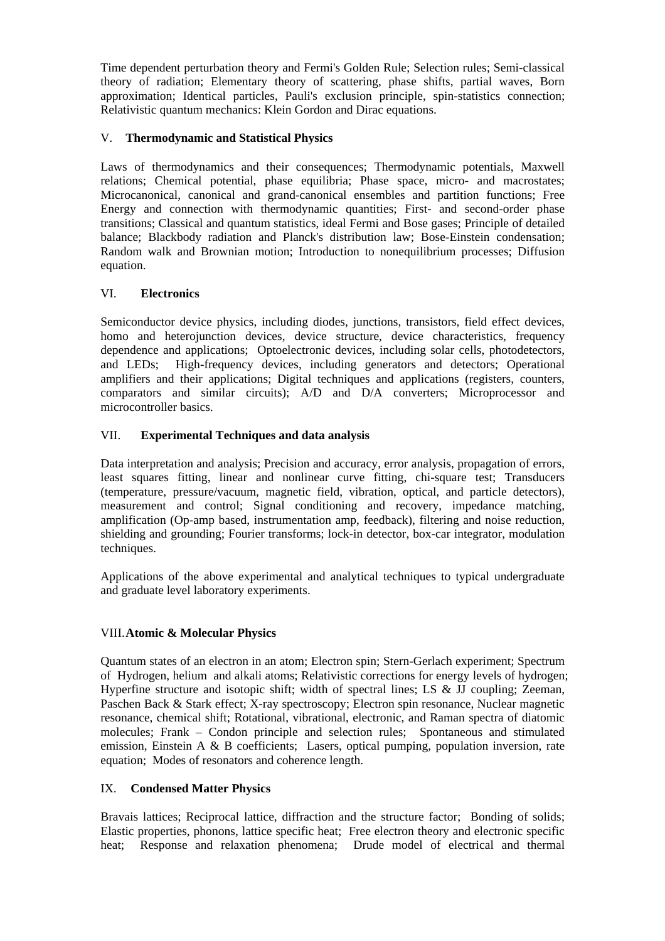Time dependent perturbation theory and Fermi's Golden Rule; Selection rules; Semi-classical theory of radiation; Elementary theory of scattering, phase shifts, partial waves, Born approximation; Identical particles, Pauli's exclusion principle, spin-statistics connection; Relativistic quantum mechanics: Klein Gordon and Dirac equations.

## V. **Thermodynamic and Statistical Physics**

Laws of thermodynamics and their consequences; Thermodynamic potentials, Maxwell relations; Chemical potential, phase equilibria; Phase space, micro- and macrostates; Microcanonical, canonical and grand-canonical ensembles and partition functions; Free Energy and connection with thermodynamic quantities; First- and second-order phase transitions; Classical and quantum statistics, ideal Fermi and Bose gases; Principle of detailed balance; Blackbody radiation and Planck's distribution law; Bose-Einstein condensation; Random walk and Brownian motion; Introduction to nonequilibrium processes; Diffusion equation.

#### VI. **Electronics**

Semiconductor device physics, including diodes, junctions, transistors, field effect devices, homo and heterojunction devices, device structure, device characteristics, frequency dependence and applications; Optoelectronic devices, including solar cells, photodetectors, and LEDs; High-frequency devices, including generators and detectors; Operational amplifiers and their applications; Digital techniques and applications (registers, counters, comparators and similar circuits); A/D and D/A converters; Microprocessor and microcontroller basics.

#### VII. **Experimental Techniques and data analysis**

Data interpretation and analysis; Precision and accuracy, error analysis, propagation of errors, least squares fitting, linear and nonlinear curve fitting, chi-square test; Transducers (temperature, pressure/vacuum, magnetic field, vibration, optical, and particle detectors), measurement and control; Signal conditioning and recovery, impedance matching, amplification (Op-amp based, instrumentation amp, feedback), filtering and noise reduction, shielding and grounding; Fourier transforms; lock-in detector, box-car integrator, modulation techniques.

Applications of the above experimental and analytical techniques to typical undergraduate and graduate level laboratory experiments.

#### VIII. **Atomic & Molecular Physics**

Quantum states of an electron in an atom; Electron spin; Stern-Gerlach experiment; Spectrum of Hydrogen, helium and alkali atoms; Relativistic corrections for energy levels of hydrogen; Hyperfine structure and isotopic shift; width of spectral lines; LS & JJ coupling; Zeeman, Paschen Back & Stark effect; X-ray spectroscopy; Electron spin resonance, Nuclear magnetic resonance, chemical shift; Rotational, vibrational, electronic, and Raman spectra of diatomic molecules; Frank – Condon principle and selection rules; Spontaneous and stimulated emission, Einstein A & B coefficients; Lasers, optical pumping, population inversion, rate equation; Modes of resonators and coherence length.

### IX. **Condensed Matter Physics**

Bravais lattices; Reciprocal lattice, diffraction and the structure factor; Bonding of solids; Elastic properties, phonons, lattice specific heat; Free electron theory and electronic specific heat; Response and relaxation phenomena; Drude model of electrical and thermal